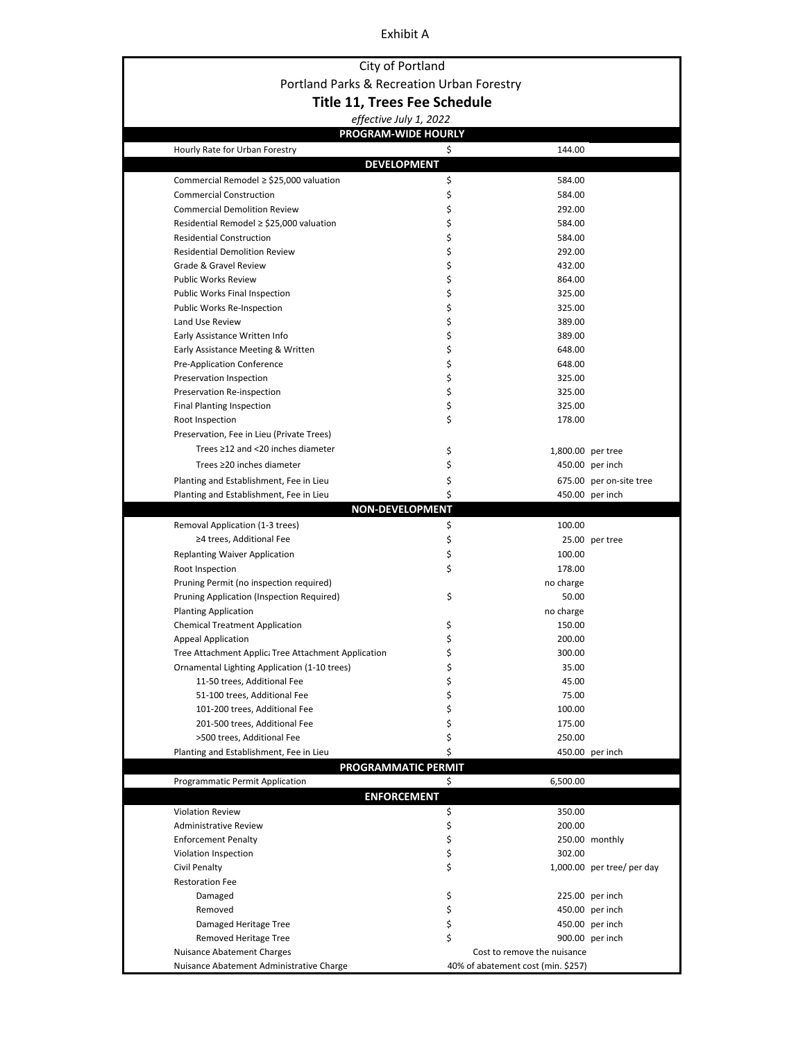#### Exhibit A

## City of Portland Portland Parks & Recreation Urban Forestry **Title 11, Trees Fee Schedule**

|                                                     | effective July 1, 2022 |                                    |                            |
|-----------------------------------------------------|------------------------|------------------------------------|----------------------------|
|                                                     | PROGRAM-WIDE HOURLY    |                                    |                            |
| Hourly Rate for Urban Forestry                      | \$                     | 144.00                             |                            |
|                                                     | <b>DEVELOPMENT</b>     |                                    |                            |
| Commercial Remodel ≥ \$25,000 valuation             | \$                     | 584.00                             |                            |
| <b>Commercial Construction</b>                      | \$                     | 584.00                             |                            |
| <b>Commercial Demolition Review</b>                 | \$                     | 292.00                             |                            |
| Residential Remodel $\ge$ \$25,000 valuation        | \$                     | 584.00                             |                            |
| <b>Residential Construction</b>                     | \$                     | 584.00                             |                            |
| <b>Residential Demolition Review</b>                | \$                     | 292.00                             |                            |
| Grade & Gravel Review                               | \$                     | 432.00                             |                            |
| <b>Public Works Review</b>                          | \$                     | 864.00                             |                            |
| <b>Public Works Final Inspection</b>                | \$                     | 325.00                             |                            |
| <b>Public Works Re-Inspection</b>                   | \$                     | 325.00                             |                            |
| Land Use Review                                     | \$                     | 389.00                             |                            |
| Early Assistance Written Info                       | \$                     | 389.00                             |                            |
| Early Assistance Meeting & Written                  | \$                     | 648.00                             |                            |
| Pre-Application Conference                          | \$                     | 648.00                             |                            |
| Preservation Inspection                             | \$                     | 325.00                             |                            |
| Preservation Re-inspection                          | \$                     | 325.00                             |                            |
| <b>Final Planting Inspection</b>                    | \$                     | 325.00                             |                            |
| Root Inspection                                     | \$                     | 178.00                             |                            |
| Preservation, Fee in Lieu (Private Trees)           |                        |                                    |                            |
| Trees $\geq$ 12 and <20 inches diameter             | \$                     | 1,800.00 per tree                  |                            |
| Trees ≥20 inches diameter                           | \$                     |                                    | 450.00 per inch            |
| Planting and Establishment, Fee in Lieu             | \$                     |                                    | 675.00 per on-site tree    |
| Planting and Establishment, Fee in Lieu             | \$                     |                                    | 450.00 per inch            |
|                                                     | <b>NON-DEVELOPMENT</b> |                                    |                            |
| Removal Application (1-3 trees)                     | \$                     | 100.00                             |                            |
| ≥4 trees, Additional Fee                            | \$                     |                                    | 25.00 per tree             |
| <b>Replanting Waiver Application</b>                | \$                     | 100.00                             |                            |
| Root Inspection                                     | \$                     | 178.00                             |                            |
| Pruning Permit (no inspection required)             |                        | no charge                          |                            |
| Pruning Application (Inspection Required)           | \$                     | 50.00                              |                            |
| <b>Planting Application</b>                         |                        | no charge                          |                            |
| <b>Chemical Treatment Application</b>               | \$                     | 150.00                             |                            |
| <b>Appeal Application</b>                           | \$                     | 200.00                             |                            |
| Tree Attachment Applic: Tree Attachment Application | \$                     | 300.00                             |                            |
| Ornamental Lighting Application (1-10 trees)        | \$                     | 35.00                              |                            |
| 11-50 trees, Additional Fee                         | \$                     | 45.00                              |                            |
| 51-100 trees, Additional Fee                        | \$                     | 75.00                              |                            |
| 101-200 trees, Additional Fee                       | \$                     | 100.00                             |                            |
| 201-500 trees, Additional Fee                       | \$                     | 175.00                             |                            |
| >500 trees, Additional Fee                          | \$                     | 250.00                             |                            |
| Planting and Establishment, Fee in Lieu             | Ś                      |                                    | 450.00 per inch            |
|                                                     | PROGRAMMATIC PERMIT    |                                    |                            |
| Programmatic Permit Application                     | \$                     | 6,500.00                           |                            |
|                                                     | <b>ENFORCEMENT</b>     |                                    |                            |
| <b>Violation Review</b>                             | \$                     | 350.00                             |                            |
| <b>Administrative Review</b>                        | \$                     | 200.00                             |                            |
| <b>Enforcement Penalty</b>                          | \$                     |                                    | 250.00 monthly             |
| Violation Inspection                                | \$                     | 302.00                             |                            |
| Civil Penalty                                       | \$                     |                                    | 1,000.00 per tree/ per day |
| <b>Restoration Fee</b>                              |                        |                                    |                            |
| Damaged                                             | \$                     |                                    | 225.00 per inch            |
| Removed                                             | \$                     |                                    | 450.00 per inch            |
| Damaged Heritage Tree                               | \$                     |                                    | 450.00 per inch            |
| Removed Heritage Tree                               | \$                     |                                    | 900.00 per inch            |
| Nuisance Abatement Charges                          |                        | Cost to remove the nuisance        |                            |
| Nuisance Abatement Administrative Charge            |                        | 40% of abatement cost (min. \$257) |                            |